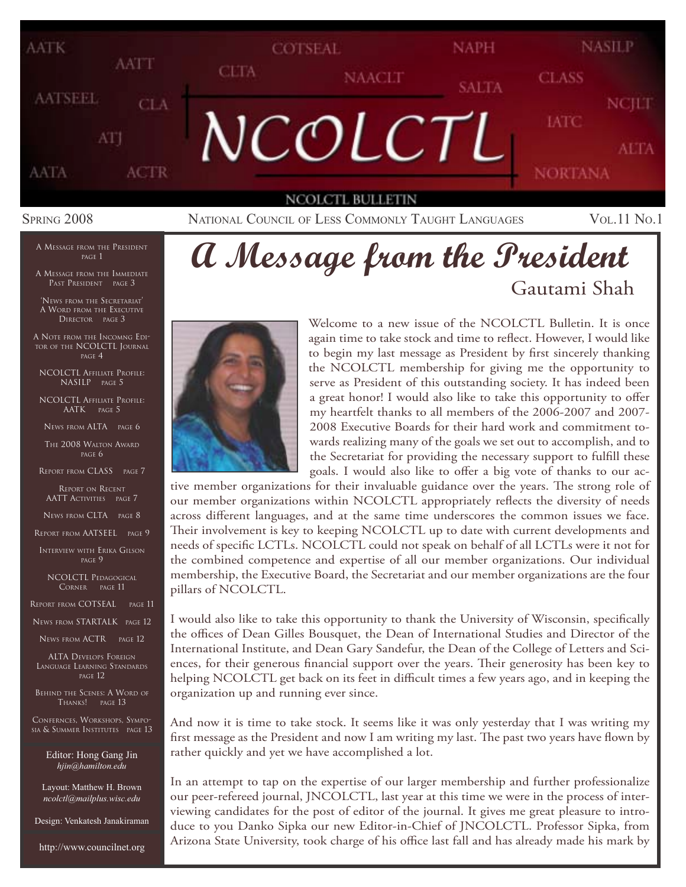

SPRING 2008 **NATIONAL COUNCIL OF LESS COMMONLY TAUGHT LANGUAGES** VOL.11 No.1

#### A MESSAGE FROM THE PRESIDENT PAGE 1

A MESSAGE FROM THE IMMEDIATE PAST PRESIDENT PAGE 3

'NEWS FROM THE SECRETARIAT' A WORD FROM THE EXECUTIVE DIRECTOR PAGE 3

A NOTE FROM THE INCOMNG EDI-TOR OF THE NCOLCTL JOURNAL PAGE 4

NCOLCTL AFFILIATE PROFILE: NASILP PAGE 5

NCOLCTL AFFILIATE PROFILE: AATK PAGE 5

NEWS FROM ALTA PAGE 6

THE 2008 WALTON AWARD PAGE 6

REPORT FROM CLASS PAGE 7

REPORT ON RECENT AATT ACTIVITIES PAGE 7

NEWS FROM CLTA PAGE 8

REPORT FROM AATSEEL PAGE 9

INTERVIEW WITH ERIKA GILSON PAGE 9

NCOLCTL PEDAGOGICAL CORNER PAGE 11

REPORT FROM COTSEAL PAGE 11

NEWS FROM STARTALK PAGE 12

NEWS FROM ACTR PAGE 12

ALTA DEVELOPS FOREIGN LANGUAGE LEARNING STANDARDS PAGE 12

BEHIND THE SCENES: A WORD OF THANKS! PAGE 13

CONFERNCES, WORKSHOPS, SYMPO-SIA & SUMMER INSTITUTES PAGE 13

> Editor: Hong Gang Jin *hjin@hamilton.edu*

Layout: Matthew H. Brown *ncolctl@mailplus.wisc.edu*

Design: Venkatesh Janakiraman

http://www.councilnet.org

## **A Message from the President** Gautami Shah



Welcome to a new issue of the NCOLCTL Bulletin. It is once again time to take stock and time to reflect. However, I would like to begin my last message as President by first sincerely thanking the NCOLCTL membership for giving me the opportunity to serve as President of this outstanding society. It has indeed been a great honor! I would also like to take this opportunity to offer my heartfelt thanks to all members of the 2006-2007 and 2007- 2008 Executive Boards for their hard work and commitment towards realizing many of the goals we set out to accomplish, and to the Secretariat for providing the necessary support to fulfill these goals. I would also like to offer a big vote of thanks to our ac-

tive member organizations for their invaluable guidance over the years. The strong role of our member organizations within NCOLCTL appropriately reflects the diversity of needs across different languages, and at the same time underscores the common issues we face. Their involvement is key to keeping NCOLCTL up to date with current developments and needs of specific LCTLs. NCOLCTL could not speak on behalf of all LCTLs were it not for the combined competence and expertise of all our member organizations. Our individual membership, the Executive Board, the Secretariat and our member organizations are the four pillars of NCOLCTL.

I would also like to take this opportunity to thank the University of Wisconsin, specifically the offices of Dean Gilles Bousquet, the Dean of International Studies and Director of the International Institute, and Dean Gary Sandefur, the Dean of the College of Letters and Sciences, for their generous financial support over the years. Their generosity has been key to helping NCOLCTL get back on its feet in difficult times a few years ago, and in keeping the organization up and running ever since.

And now it is time to take stock. It seems like it was only yesterday that I was writing my first message as the President and now I am writing my last. The past two years have flown by rather quickly and yet we have accomplished a lot.

In an attempt to tap on the expertise of our larger membership and further professionalize our peer-refereed journal, JNCOLCTL, last year at this time we were in the process of interviewing candidates for the post of editor of the journal. It gives me great pleasure to introduce to you Danko Sipka our new Editor-in-Chief of JNCOLCTL. Professor Sipka, from Arizona State University, took charge of his office last fall and has already made his mark by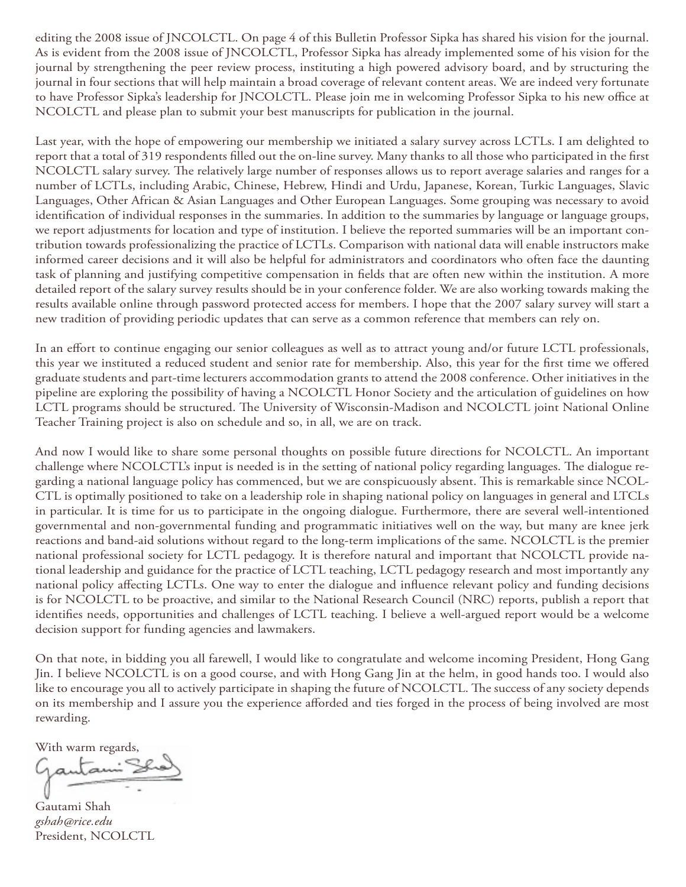editing the 2008 issue of JNCOLCTL. On page 4 of this Bulletin Professor Sipka has shared his vision for the journal. As is evident from the 2008 issue of JNCOLCTL, Professor Sipka has already implemented some of his vision for the journal by strengthening the peer review process, instituting a high powered advisory board, and by structuring the journal in four sections that will help maintain a broad coverage of relevant content areas. We are indeed very fortunate to have Professor Sipka's leadership for JNCOLCTL. Please join me in welcoming Professor Sipka to his new office at NCOLCTL and please plan to submit your best manuscripts for publication in the journal.

Last year, with the hope of empowering our membership we initiated a salary survey across LCTLs. I am delighted to report that a total of 319 respondents filled out the on-line survey. Many thanks to all those who participated in the first NCOLCTL salary survey. The relatively large number of responses allows us to report average salaries and ranges for a number of LCTLs, including Arabic, Chinese, Hebrew, Hindi and Urdu, Japanese, Korean, Turkic Languages, Slavic Languages, Other African & Asian Languages and Other European Languages. Some grouping was necessary to avoid identification of individual responses in the summaries. In addition to the summaries by language or language groups, we report adjustments for location and type of institution. I believe the reported summaries will be an important contribution towards professionalizing the practice of LCTLs. Comparison with national data will enable instructors make informed career decisions and it will also be helpful for administrators and coordinators who often face the daunting task of planning and justifying competitive compensation in fields that are often new within the institution. A more detailed report of the salary survey results should be in your conference folder. We are also working towards making the results available online through password protected access for members. I hope that the 2007 salary survey will start a new tradition of providing periodic updates that can serve as a common reference that members can rely on.

In an effort to continue engaging our senior colleagues as well as to attract young and/or future LCTL professionals, this year we instituted a reduced student and senior rate for membership. Also, this year for the first time we offered graduate students and part-time lecturers accommodation grants to attend the 2008 conference. Other initiatives in the pipeline are exploring the possibility of having a NCOLCTL Honor Society and the articulation of guidelines on how LCTL programs should be structured. The University of Wisconsin-Madison and NCOLCTL joint National Online Teacher Training project is also on schedule and so, in all, we are on track.

And now I would like to share some personal thoughts on possible future directions for NCOLCTL. An important challenge where NCOLCTL's input is needed is in the setting of national policy regarding languages. The dialogue regarding a national language policy has commenced, but we are conspicuously absent. This is remarkable since NCOL-CTL is optimally positioned to take on a leadership role in shaping national policy on languages in general and LTCLs in particular. It is time for us to participate in the ongoing dialogue. Furthermore, there are several well-intentioned governmental and non-governmental funding and programmatic initiatives well on the way, but many are knee jerk reactions and band-aid solutions without regard to the long-term implications of the same. NCOLCTL is the premier national professional society for LCTL pedagogy. It is therefore natural and important that NCOLCTL provide national leadership and guidance for the practice of LCTL teaching, LCTL pedagogy research and most importantly any national policy affecting LCTLs. One way to enter the dialogue and influence relevant policy and funding decisions is for NCOLCTL to be proactive, and similar to the National Research Council (NRC) reports, publish a report that identifies needs, opportunities and challenges of LCTL teaching. I believe a well-argued report would be a welcome decision support for funding agencies and lawmakers.

On that note, in bidding you all farewell, I would like to congratulate and welcome incoming President, Hong Gang Jin. I believe NCOLCTL is on a good course, and with Hong Gang Jin at the helm, in good hands too. I would also like to encourage you all to actively participate in shaping the future of NCOLCTL. The success of any society depends on its membership and I assure you the experience afforded and ties forged in the process of being involved are most rewarding.

With warm regards,<br>Gautami<sup>5</sup>

Gautami Shah *gshah@rice.edu* President, NCOLCTL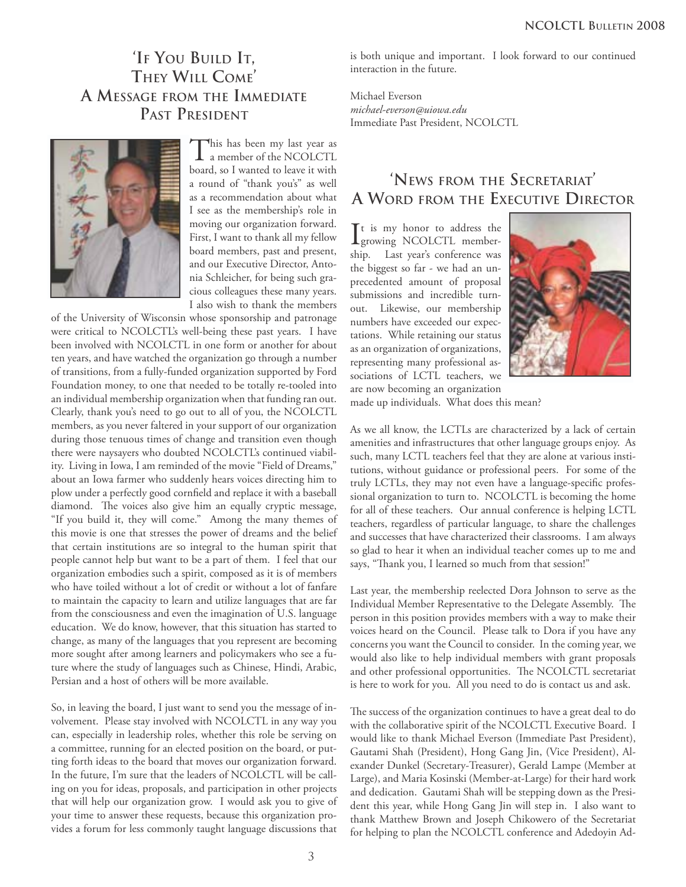## **'IF YOU BUILD IT, THEY WILL COME' A MESSAGE FROM THE IMMEDIATE PAST PRESIDENT**



This has been my last year as  $\perp$  a member of the NCOLCTL board, so I wanted to leave it with a round of "thank you's" as well as a recommendation about what I see as the membership's role in moving our organization forward. First, I want to thank all my fellow board members, past and present, and our Executive Director, Antonia Schleicher, for being such gracious colleagues these many years. I also wish to thank the members

of the University of Wisconsin whose sponsorship and patronage were critical to NCOLCTL's well-being these past years. I have been involved with NCOLCTL in one form or another for about ten years, and have watched the organization go through a number of transitions, from a fully-funded organization supported by Ford Foundation money, to one that needed to be totally re-tooled into an individual membership organization when that funding ran out. Clearly, thank you's need to go out to all of you, the NCOLCTL members, as you never faltered in your support of our organization during those tenuous times of change and transition even though there were naysayers who doubted NCOLCTL's continued viability. Living in Iowa, I am reminded of the movie "Field of Dreams," about an Iowa farmer who suddenly hears voices directing him to plow under a perfectly good cornfield and replace it with a baseball diamond. The voices also give him an equally cryptic message, "If you build it, they will come." Among the many themes of this movie is one that stresses the power of dreams and the belief that certain institutions are so integral to the human spirit that people cannot help but want to be a part of them. I feel that our organization embodies such a spirit, composed as it is of members who have toiled without a lot of credit or without a lot of fanfare to maintain the capacity to learn and utilize languages that are far from the consciousness and even the imagination of U.S. language education. We do know, however, that this situation has started to change, as many of the languages that you represent are becoming more sought after among learners and policymakers who see a future where the study of languages such as Chinese, Hindi, Arabic, Persian and a host of others will be more available.

So, in leaving the board, I just want to send you the message of involvement. Please stay involved with NCOLCTL in any way you can, especially in leadership roles, whether this role be serving on a committee, running for an elected position on the board, or putting forth ideas to the board that moves our organization forward. In the future, I'm sure that the leaders of NCOLCTL will be calling on you for ideas, proposals, and participation in other projects that will help our organization grow. I would ask you to give of your time to answer these requests, because this organization provides a forum for less commonly taught language discussions that

is both unique and important. I look forward to our continued interaction in the future.

Michael Everson *michael-everson@uiowa.edu* Immediate Past President, NCOLCTL

## **'NEWS FROM THE SECRETARIAT' A WORD FROM THE EXECUTIVE DIRECTOR**

It is my honor to address the<br>growing NCOLCTL membergrowing NCOLCTL membership. Last year's conference was the biggest so far - we had an unprecedented amount of proposal submissions and incredible turnout. Likewise, our membership numbers have exceeded our expectations. While retaining our status as an organization of organizations, representing many professional associations of LCTL teachers, we are now becoming an organization



made up individuals. What does this mean?

As we all know, the LCTLs are characterized by a lack of certain amenities and infrastructures that other language groups enjoy. As such, many LCTL teachers feel that they are alone at various institutions, without guidance or professional peers. For some of the truly LCTLs, they may not even have a language-specific professional organization to turn to. NCOLCTL is becoming the home for all of these teachers. Our annual conference is helping LCTL teachers, regardless of particular language, to share the challenges and successes that have characterized their classrooms. I am always so glad to hear it when an individual teacher comes up to me and says, "Thank you, I learned so much from that session!"

Last year, the membership reelected Dora Johnson to serve as the Individual Member Representative to the Delegate Assembly. The person in this position provides members with a way to make their voices heard on the Council. Please talk to Dora if you have any concerns you want the Council to consider. In the coming year, we would also like to help individual members with grant proposals and other professional opportunities. The NCOLCTL secretariat is here to work for you. All you need to do is contact us and ask.

The success of the organization continues to have a great deal to do with the collaborative spirit of the NCOLCTL Executive Board. I would like to thank Michael Everson (Immediate Past President), Gautami Shah (President), Hong Gang Jin, (Vice President), Alexander Dunkel (Secretary-Treasurer), Gerald Lampe (Member at Large), and Maria Kosinski (Member-at-Large) for their hard work and dedication. Gautami Shah will be stepping down as the President this year, while Hong Gang Jin will step in. I also want to thank Matthew Brown and Joseph Chikowero of the Secretariat for helping to plan the NCOLCTL conference and Adedoyin Ad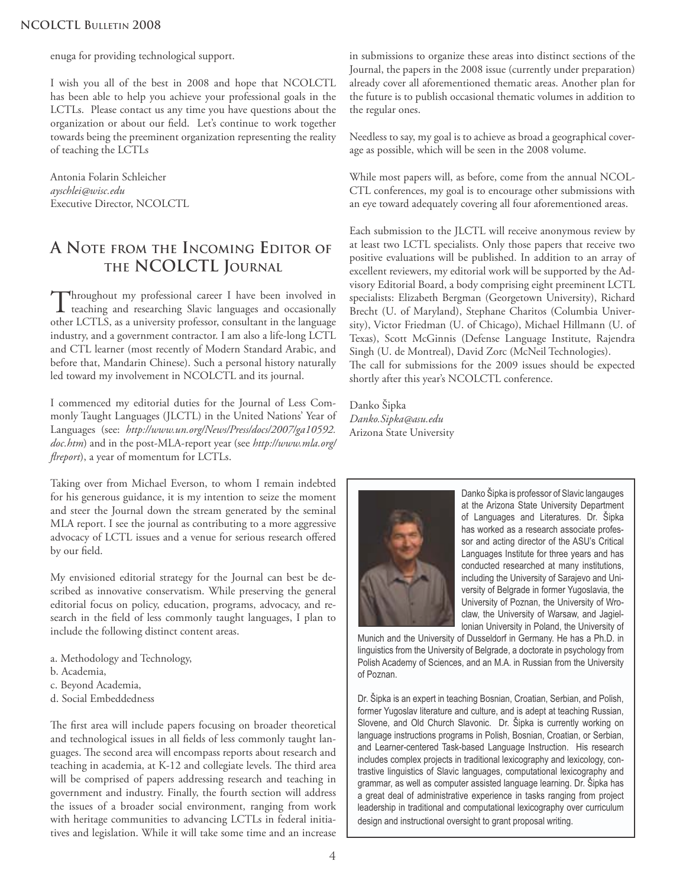enuga for providing technological support.

I wish you all of the best in 2008 and hope that NCOLCTL has been able to help you achieve your professional goals in the LCTLs. Please contact us any time you have questions about the organization or about our field. Let's continue to work together towards being the preeminent organization representing the reality of teaching the LCTLs

Antonia Folarin Schleicher *ayschlei@wisc.edu* Executive Director, NCOLCTL

## **A NOTE FROM THE INCOMING EDITOR OF THE NCOLCTL JOURNAL**

Throughout my professional career I have been involved in teaching and researching Slavic languages and occasionally other LCTLS, as a university professor, consultant in the language industry, and a government contractor. I am also a life-long LCTL and CTL learner (most recently of Modern Standard Arabic, and before that, Mandarin Chinese). Such a personal history naturally led toward my involvement in NCOLCTL and its journal.

I commenced my editorial duties for the Journal of Less Commonly Taught Languages (JLCTL) in the United Nations' Year of Languages (see: *http://www.un.org/News/Press/docs/2007/ga10592. doc.htm*) and in the post-MLA-report year (see *http://www.mla.org/ flreport*), a year of momentum for LCTLs.

Taking over from Michael Everson, to whom I remain indebted for his generous guidance, it is my intention to seize the moment and steer the Journal down the stream generated by the seminal MLA report. I see the journal as contributing to a more aggressive advocacy of LCTL issues and a venue for serious research offered by our field.

My envisioned editorial strategy for the Journal can best be described as innovative conservatism. While preserving the general editorial focus on policy, education, programs, advocacy, and research in the field of less commonly taught languages, I plan to include the following distinct content areas.

- a. Methodology and Technology,
- b. Academia,
- c. Beyond Academia,
- d. Social Embeddedness

The first area will include papers focusing on broader theoretical and technological issues in all fields of less commonly taught languages. The second area will encompass reports about research and teaching in academia, at K-12 and collegiate levels. The third area will be comprised of papers addressing research and teaching in government and industry. Finally, the fourth section will address the issues of a broader social environment, ranging from work with heritage communities to advancing LCTLs in federal initiatives and legislation. While it will take some time and an increase in submissions to organize these areas into distinct sections of the Journal, the papers in the 2008 issue (currently under preparation) already cover all aforementioned thematic areas. Another plan for the future is to publish occasional thematic volumes in addition to the regular ones.

Needless to say, my goal is to achieve as broad a geographical coverage as possible, which will be seen in the 2008 volume.

While most papers will, as before, come from the annual NCOL-CTL conferences, my goal is to encourage other submissions with an eye toward adequately covering all four aforementioned areas.

Each submission to the JLCTL will receive anonymous review by at least two LCTL specialists. Only those papers that receive two positive evaluations will be published. In addition to an array of excellent reviewers, my editorial work will be supported by the Advisory Editorial Board, a body comprising eight preeminent LCTL specialists: Elizabeth Bergman (Georgetown University), Richard Brecht (U. of Maryland), Stephane Charitos (Columbia University), Victor Friedman (U. of Chicago), Michael Hillmann (U. of Texas), Scott McGinnis (Defense Language Institute, Rajendra Singh (U. de Montreal), David Zorc (McNeil Technologies). The call for submissions for the 2009 issues should be expected shortly after this year's NCOLCTL conference.

Danko Šipka *Danko.Sipka@asu.edu* Arizona State University



Danko Šipka is professor of Slavic langauges at the Arizona State University Department of Languages and Literatures. Dr. Šipka has worked as a research associate professor and acting director of the ASU's Critical Languages Institute for three years and has conducted researched at many institutions, including the University of Sarajevo and University of Belgrade in former Yugoslavia, the University of Poznan, the University of Wroclaw, the University of Warsaw, and Jagiellonian University in Poland, the University of

Munich and the University of Dusseldorf in Germany. He has a Ph.D. in linguistics from the University of Belgrade, a doctorate in psychology from Polish Academy of Sciences, and an M.A. in Russian from the University of Poznan.

Dr. Šipka is an expert in teaching Bosnian, Croatian, Serbian, and Polish, former Yugoslav literature and culture, and is adept at teaching Russian, Slovene, and Old Church Slavonic. Dr. Šipka is currently working on language instructions programs in Polish, Bosnian, Croatian, or Serbian, and Learner-centered Task-based Language Instruction. His research includes complex projects in traditional lexicography and lexicology, contrastive linguistics of Slavic languages, computational lexicography and grammar, as well as computer assisted language learning. Dr. Šipka has a great deal of administrative experience in tasks ranging from project leadership in traditional and computational lexicography over curriculum design and instructional oversight to grant proposal writing.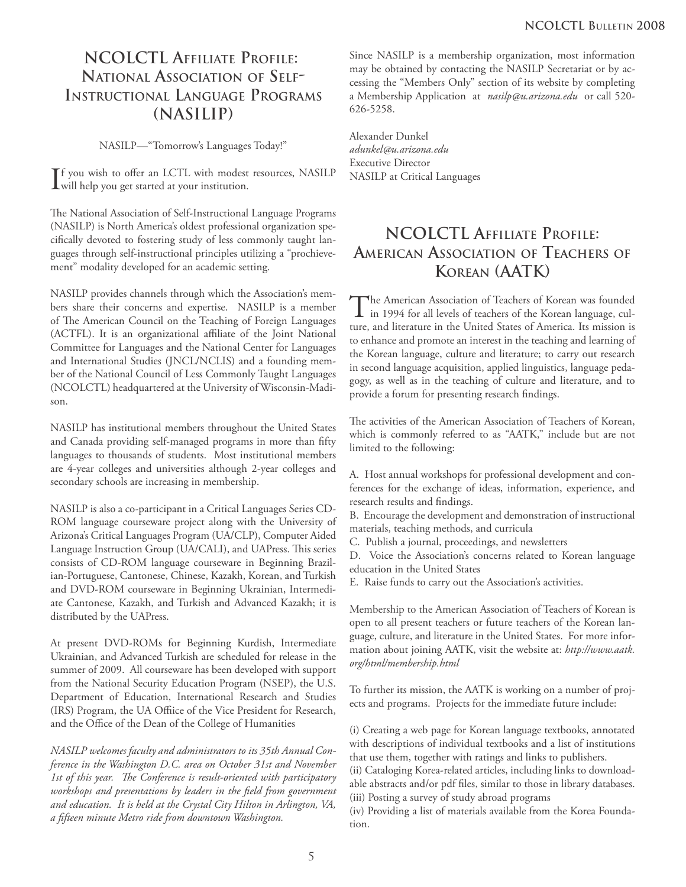## **NCOLCTL AFFILIATE PROFILE: NATIONAL ASSOCIATION OF SELF-INSTRUCTIONAL LANGUAGE PROGRAMS (NASILIP)**

NASILP—"Tomorrow's Languages Today!"

 $\prod$ you wish to offer an LCTL with modest resources, NASILP will help you get started at your institution. will help you get started at your institution.

The National Association of Self-Instructional Language Programs (NASILP) is North America's oldest professional organization specifically devoted to fostering study of less commonly taught languages through self-instructional principles utilizing a "prochievement" modality developed for an academic setting.

NASILP provides channels through which the Association's members share their concerns and expertise. NASILP is a member of The American Council on the Teaching of Foreign Languages (ACTFL). It is an organizational affiliate of the Joint National Committee for Languages and the National Center for Languages and International Studies (JNCL/NCLIS) and a founding member of the National Council of Less Commonly Taught Languages (NCOLCTL) headquartered at the University of Wisconsin-Madison.

NASILP has institutional members throughout the United States and Canada providing self-managed programs in more than fifty languages to thousands of students. Most institutional members are 4-year colleges and universities although 2-year colleges and secondary schools are increasing in membership.

NASILP is also a co-participant in a Critical Languages Series CD-ROM language courseware project along with the University of Arizona's Critical Languages Program (UA/CLP), Computer Aided Language Instruction Group (UA/CALI), and UAPress. This series consists of CD-ROM language courseware in Beginning Brazilian-Portuguese, Cantonese, Chinese, Kazakh, Korean, and Turkish and DVD-ROM courseware in Beginning Ukrainian, Intermediate Cantonese, Kazakh, and Turkish and Advanced Kazakh; it is distributed by the UAPress.

At present DVD-ROMs for Beginning Kurdish, Intermediate Ukrainian, and Advanced Turkish are scheduled for release in the summer of 2009. All courseware has been developed with support from the National Security Education Program (NSEP), the U.S. Department of Education, International Research and Studies (IRS) Program, the UA Offiice of the Vice President for Research, and the Office of the Dean of the College of Humanities

*NASILP welcomes faculty and administrators to its 35th Annual Conference in the Washington D.C. area on October 31st and November*  1st of this year. The Conference is result-oriented with participatory workshops and presentations by leaders in the field from government *and education. It is held at the Crystal City Hilton in Arlington, VA, a fi fteen minute Metro ride from downtown Washington.*

Since NASILP is a membership organization, most information may be obtained by contacting the NASILP Secretariat or by accessing the "Members Only" section of its website by completing a Membership Application at *nasilp@u.arizona.edu* or call 520- 626-5258.

Alexander Dunkel *adunkel@u.arizona.edu* Executive Director NASILP at Critical Languages

## **NCOLCTL AFFILIATE PROFILE: AMERICAN ASSOCIATION OF TEACHERS OF KOREAN (AATK)**

The American Association of Teachers of Korean was founded in 1994 for all levels of teachers of the Korean language, culture, and literature in the United States of America. Its mission is to enhance and promote an interest in the teaching and learning of the Korean language, culture and literature; to carry out research in second language acquisition, applied linguistics, language pedagogy, as well as in the teaching of culture and literature, and to provide a forum for presenting research findings.

The activities of the American Association of Teachers of Korean, which is commonly referred to as "AATK," include but are not limited to the following:

A. Host annual workshops for professional development and conferences for the exchange of ideas, information, experience, and research results and findings.

B. Encourage the development and demonstration of instructional materials, teaching methods, and curricula

C. Publish a journal, proceedings, and newsletters

D. Voice the Association's concerns related to Korean language education in the United States

E. Raise funds to carry out the Association's activities.

Membership to the American Association of Teachers of Korean is open to all present teachers or future teachers of the Korean language, culture, and literature in the United States. For more information about joining AATK, visit the website at: *http://www.aatk. org/html/membership.html*

To further its mission, the AATK is working on a number of projects and programs. Projects for the immediate future include:

(i) Creating a web page for Korean language textbooks, annotated with descriptions of individual textbooks and a list of institutions that use them, together with ratings and links to publishers.

(ii) Cataloging Korea-related articles, including links to downloadable abstracts and/or pdf files, similar to those in library databases. (iii) Posting a survey of study abroad programs

(iv) Providing a list of materials available from the Korea Foundation.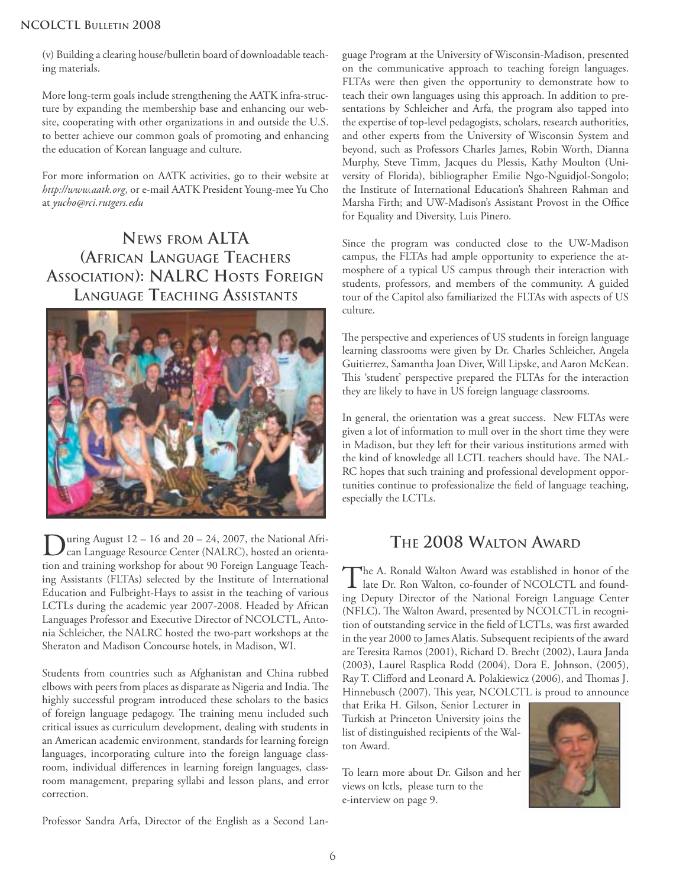#### **NCOLCTL BULLETIN 2008**

(v) Building a clearing house/bulletin board of downloadable teaching materials.

More long-term goals include strengthening the AATK infra-structure by expanding the membership base and enhancing our website, cooperating with other organizations in and outside the U.S. to better achieve our common goals of promoting and enhancing the education of Korean language and culture.

For more information on AATK activities, go to their website at *http://www.aatk.org*, or e-mail AATK President Young-mee Yu Cho at *yucho@rci.rutgers.edu*

**NEWS FROM ALTA (AFRICAN LANGUAGE TEACHERS ASSOCIATION): NALRC HOSTS FOREIGN LANGUAGE TEACHING ASSISTANTS**



uring August  $12 - 16$  and  $20 - 24$ , 2007, the National African Language Resource Center (NALRC), hosted an orientation and training workshop for about 90 Foreign Language Teaching Assistants (FLTAs) selected by the Institute of International Education and Fulbright-Hays to assist in the teaching of various LCTLs during the academic year 2007-2008. Headed by African Languages Professor and Executive Director of NCOLCTL, Antonia Schleicher, the NALRC hosted the two-part workshops at the Sheraton and Madison Concourse hotels, in Madison, WI.

Students from countries such as Afghanistan and China rubbed elbows with peers from places as disparate as Nigeria and India. The highly successful program introduced these scholars to the basics of foreign language pedagogy. The training menu included such critical issues as curriculum development, dealing with students in an American academic environment, standards for learning foreign languages, incorporating culture into the foreign language classroom, individual differences in learning foreign languages, classroom management, preparing syllabi and lesson plans, and error correction.

Professor Sandra Arfa, Director of the English as a Second Lan-

guage Program at the University of Wisconsin-Madison, presented on the communicative approach to teaching foreign languages. FLTAs were then given the opportunity to demonstrate how to teach their own languages using this approach. In addition to presentations by Schleicher and Arfa, the program also tapped into the expertise of top-level pedagogists, scholars, research authorities, and other experts from the University of Wisconsin System and beyond, such as Professors Charles James, Robin Worth, Dianna Murphy, Steve Timm, Jacques du Plessis, Kathy Moulton (University of Florida), bibliographer Emilie Ngo-Nguidjol-Songolo; the Institute of International Education's Shahreen Rahman and Marsha Firth; and UW-Madison's Assistant Provost in the Office for Equality and Diversity, Luis Pinero.

Since the program was conducted close to the UW-Madison campus, the FLTAs had ample opportunity to experience the atmosphere of a typical US campus through their interaction with students, professors, and members of the community. A guided tour of the Capitol also familiarized the FLTAs with aspects of US culture.

The perspective and experiences of US students in foreign language learning classrooms were given by Dr. Charles Schleicher, Angela Guitierrez, Samantha Joan Diver, Will Lipske, and Aaron McKean. This 'student' perspective prepared the FLTAs for the interaction they are likely to have in US foreign language classrooms.

In general, the orientation was a great success. New FLTAs were given a lot of information to mull over in the short time they were in Madison, but they left for their various institutions armed with the kind of knowledge all LCTL teachers should have. The NAL-RC hopes that such training and professional development opportunities continue to professionalize the field of language teaching, especially the LCTLs.

## **THE 2008 WALTON AWARD**

The A. Ronald Walton Award was established in honor of the late Dr. Ron Walton, co-founder of NCOLCTL and founding Deputy Director of the National Foreign Language Center (NFLC). The Walton Award, presented by NCOLCTL in recognition of outstanding service in the field of LCTLs, was first awarded in the year 2000 to James Alatis. Subsequent recipients of the award are Teresita Ramos (2001), Richard D. Brecht (2002), Laura Janda (2003), Laurel Rasplica Rodd (2004), Dora E. Johnson, (2005), Ray T. Clifford and Leonard A. Polakiewicz (2006), and Thomas J. Hinnebusch (2007). This year, NCOLCTL is proud to announce

that Erika H. Gilson, Senior Lecturer in Turkish at Princeton University joins the list of distinguished recipients of the Walton Award.

To learn more about Dr. Gilson and her views on lctls, please turn to the e-interview on page 9.

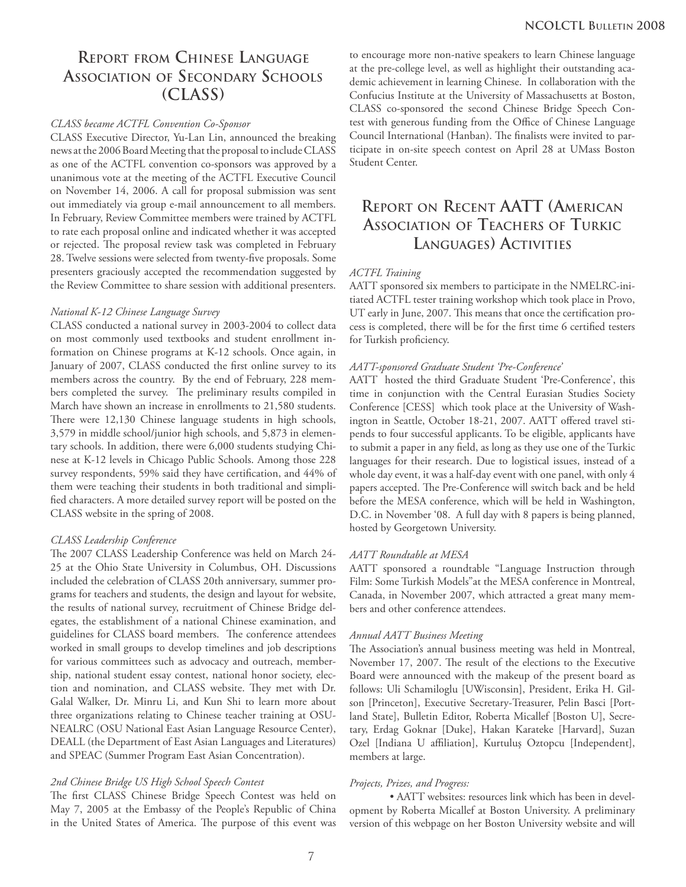## **REPORT FROM CHINESE LANGUAGE ASSOCIATION OF SECONDARY SCHOOLS (CLASS)**

#### *CLASS became ACTFL Convention Co-Sponsor*

CLASS Executive Director, Yu-Lan Lin, announced the breaking news at the 2006 Board Meeting that the proposal to include CLASS as one of the ACTFL convention co-sponsors was approved by a unanimous vote at the meeting of the ACTFL Executive Council on November 14, 2006. A call for proposal submission was sent out immediately via group e-mail announcement to all members. In February, Review Committee members were trained by ACTFL to rate each proposal online and indicated whether it was accepted or rejected. The proposal review task was completed in February 28. Twelve sessions were selected from twenty-five proposals. Some presenters graciously accepted the recommendation suggested by the Review Committee to share session with additional presenters.

#### *National K-12 Chinese Language Survey*

CLASS conducted a national survey in 2003-2004 to collect data on most commonly used textbooks and student enrollment information on Chinese programs at K-12 schools. Once again, in January of 2007, CLASS conducted the first online survey to its members across the country. By the end of February, 228 members completed the survey. The preliminary results compiled in March have shown an increase in enrollments to 21,580 students. There were 12,130 Chinese language students in high schools, 3,579 in middle school/junior high schools, and 5,873 in elementary schools. In addition, there were 6,000 students studying Chinese at K-12 levels in Chicago Public Schools. Among those 228 survey respondents, 59% said they have certification, and 44% of them were teaching their students in both traditional and simplified characters. A more detailed survey report will be posted on the CLASS website in the spring of 2008.

#### *CLASS Leadership Conference*

The 2007 CLASS Leadership Conference was held on March 24-25 at the Ohio State University in Columbus, OH. Discussions included the celebration of CLASS 20th anniversary, summer programs for teachers and students, the design and layout for website, the results of national survey, recruitment of Chinese Bridge delegates, the establishment of a national Chinese examination, and guidelines for CLASS board members. The conference attendees worked in small groups to develop timelines and job descriptions for various committees such as advocacy and outreach, membership, national student essay contest, national honor society, election and nomination, and CLASS website. They met with Dr. Galal Walker, Dr. Minru Li, and Kun Shi to learn more about three organizations relating to Chinese teacher training at OSU-NEALRC (OSU National East Asian Language Resource Center), DEALL (the Department of East Asian Languages and Literatures) and SPEAC (Summer Program East Asian Concentration).

#### *2nd Chinese Bridge US High School Speech Contest*

The first CLASS Chinese Bridge Speech Contest was held on May 7, 2005 at the Embassy of the People's Republic of China in the United States of America. The purpose of this event was to encourage more non-native speakers to learn Chinese language at the pre-college level, as well as highlight their outstanding academic achievement in learning Chinese. In collaboration with the Confucius Institute at the University of Massachusetts at Boston, CLASS co-sponsored the second Chinese Bridge Speech Contest with generous funding from the Office of Chinese Language Council International (Hanban). The finalists were invited to participate in on-site speech contest on April 28 at UMass Boston Student Center.

## **REPORT ON RECENT AATT (AMERICAN ASSOCIATION OF TEACHERS OF TURKIC LANGUAGES) ACTIVITIES**

#### *ACTFL Training*

AATT sponsored six members to participate in the NMELRC-initiated ACTFL tester training workshop which took place in Provo, UT early in June, 2007. This means that once the certification process is completed, there will be for the first time 6 certified testers for Turkish proficiency.

#### *AATT-sponsored Graduate Student 'Pre-Conference'*

AATT hosted the third Graduate Student 'Pre-Conference', this time in conjunction with the Central Eurasian Studies Society Conference [CESS] which took place at the University of Washington in Seattle, October 18-21, 2007. AATT offered travel stipends to four successful applicants. To be eligible, applicants have to submit a paper in any field, as long as they use one of the Turkic languages for their research. Due to logistical issues, instead of a whole day event, it was a half-day event with one panel, with only 4 papers accepted. The Pre-Conference will switch back and be held before the MESA conference, which will be held in Washington, D.C. in November '08. A full day with 8 papers is being planned, hosted by Georgetown University.

#### *AATT Roundtable at MESA*

AATT sponsored a roundtable "Language Instruction through Film: Some Turkish Models"at the MESA conference in Montreal, Canada, in November 2007, which attracted a great many members and other conference attendees.

#### *Annual AATT Business Meeting*

The Association's annual business meeting was held in Montreal, November 17, 2007. The result of the elections to the Executive Board were announced with the makeup of the present board as follows: Uli Schamiloglu [UWisconsin], President, Erika H. Gilson [Princeton], Executive Secretary-Treasurer, Pelin Basci [Portland State], Bulletin Editor, Roberta Micallef [Boston U], Secretary, Erdag Goknar [Duke], Hakan Karateke [Harvard], Suzan Ozel [Indiana U affiliation], Kurtuluş Oztopcu [Independent], members at large.

#### *Projects, Prizes, and Progress:*

 • AATT websites: resources link which has been in development by Roberta Micallef at Boston University. A preliminary version of this webpage on her Boston University website and will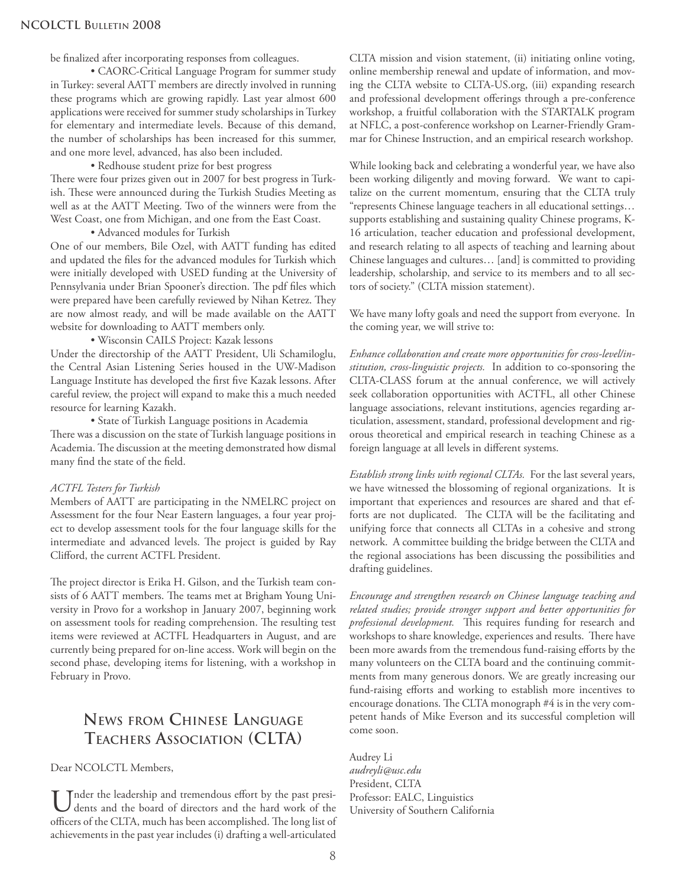be finalized after incorporating responses from colleagues.

 • CAORC-Critical Language Program for summer study in Turkey: several AATT members are directly involved in running these programs which are growing rapidly. Last year almost 600 applications were received for summer study scholarships in Turkey for elementary and intermediate levels. Because of this demand, the number of scholarships has been increased for this summer, and one more level, advanced, has also been included.

• Redhouse student prize for best progress

There were four prizes given out in 2007 for best progress in Turkish. These were announced during the Turkish Studies Meeting as well as at the AATT Meeting. Two of the winners were from the West Coast, one from Michigan, and one from the East Coast.

• Advanced modules for Turkish

One of our members, Bile Ozel, with AATT funding has edited and updated the files for the advanced modules for Turkish which were initially developed with USED funding at the University of Pennsylvania under Brian Spooner's direction. The pdf files which were prepared have been carefully reviewed by Nihan Ketrez. They are now almost ready, and will be made available on the AATT website for downloading to AATT members only.

• Wisconsin CAILS Project: Kazak lessons

Under the directorship of the AATT President, Uli Schamiloglu, the Central Asian Listening Series housed in the UW-Madison Language Institute has developed the first five Kazak lessons. After careful review, the project will expand to make this a much needed resource for learning Kazakh.

 • State of Turkish Language positions in Academia There was a discussion on the state of Turkish language positions in Academia. The discussion at the meeting demonstrated how dismal many find the state of the field.

#### *ACTFL Testers for Turkish*

Members of AATT are participating in the NMELRC project on Assessment for the four Near Eastern languages, a four year project to develop assessment tools for the four language skills for the intermediate and advanced levels. The project is guided by Ray Clifford, the current ACTFL President.

The project director is Erika H. Gilson, and the Turkish team consists of 6 AATT members. The teams met at Brigham Young University in Provo for a workshop in January 2007, beginning work on assessment tools for reading comprehension. The resulting test items were reviewed at ACTFL Headquarters in August, and are currently being prepared for on-line access. Work will begin on the second phase, developing items for listening, with a workshop in February in Provo.

## **NEWS FROM CHINESE LANGUAGE TEACHERS ASSOCIATION (CLTA)**

Dear NCOLCTL Members,

Under the leadership and tremendous effort by the past presi-<br>dents and the board of directors and the hard work of the<br> $\frac{1}{2}$ officers of the CLTA, much has been accomplished. The long list of achievements in the past year includes (i) drafting a well-articulated

CLTA mission and vision statement, (ii) initiating online voting, online membership renewal and update of information, and moving the CLTA website to CLTA-US.org, (iii) expanding research and professional development offerings through a pre-conference workshop, a fruitful collaboration with the STARTALK program at NFLC, a post-conference workshop on Learner-Friendly Grammar for Chinese Instruction, and an empirical research workshop.

While looking back and celebrating a wonderful year, we have also been working diligently and moving forward. We want to capitalize on the current momentum, ensuring that the CLTA truly "represents Chinese language teachers in all educational settings… supports establishing and sustaining quality Chinese programs, K-16 articulation, teacher education and professional development, and research relating to all aspects of teaching and learning about Chinese languages and cultures… [and] is committed to providing leadership, scholarship, and service to its members and to all sectors of society." (CLTA mission statement).

We have many lofty goals and need the support from everyone. In the coming year, we will strive to:

*Enhance collaboration and create more opportunities for cross-level/institution, cross-linguistic projects.* In addition to co-sponsoring the CLTA-CLASS forum at the annual conference, we will actively seek collaboration opportunities with ACTFL, all other Chinese language associations, relevant institutions, agencies regarding articulation, assessment, standard, professional development and rigorous theoretical and empirical research in teaching Chinese as a foreign language at all levels in different systems.

*Establish strong links with regional CLTAs.* For the last several years, we have witnessed the blossoming of regional organizations. It is important that experiences and resources are shared and that efforts are not duplicated. The CLTA will be the facilitating and unifying force that connects all CLTAs in a cohesive and strong network. A committee building the bridge between the CLTA and the regional associations has been discussing the possibilities and drafting guidelines.

*Encourage and strengthen research on Chinese language teaching and related studies; provide stronger support and better opportunities for*  professional development. This requires funding for research and workshops to share knowledge, experiences and results. There have been more awards from the tremendous fund-raising efforts by the many volunteers on the CLTA board and the continuing commitments from many generous donors. We are greatly increasing our fund-raising efforts and working to establish more incentives to encourage donations. The CLTA monograph #4 is in the very competent hands of Mike Everson and its successful completion will come soon.

Audrey Li *audreyli@usc.edu* President, CLTA Professor: EALC, Linguistics University of Southern California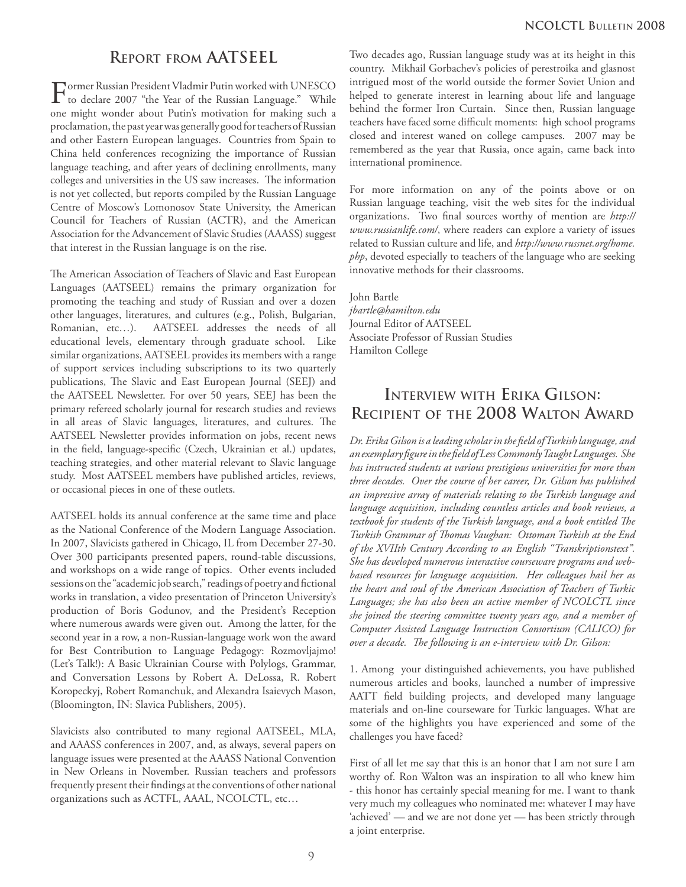## **REPORT FROM AATSEEL**

Former Russian President Vladmir Putin worked with UNESCO to declare 2007 "the Year of the Russian Language." While one might wonder about Putin's motivation for making such a proclamation, the past year was generally good for teachers of Russian and other Eastern European languages. Countries from Spain to China held conferences recognizing the importance of Russian language teaching, and after years of declining enrollments, many colleges and universities in the US saw increases. The information is not yet collected, but reports compiled by the Russian Language Centre of Moscow's Lomonosov State University, the American Council for Teachers of Russian (ACTR), and the American Association for the Advancement of Slavic Studies (AAASS) suggest that interest in the Russian language is on the rise.

The American Association of Teachers of Slavic and East European Languages (AATSEEL) remains the primary organization for promoting the teaching and study of Russian and over a dozen other languages, literatures, and cultures (e.g., Polish, Bulgarian, Romanian, etc…). AATSEEL addresses the needs of all educational levels, elementary through graduate school. Like similar organizations, AATSEEL provides its members with a range of support services including subscriptions to its two quarterly publications, The Slavic and East European Journal (SEEJ) and the AATSEEL Newsletter. For over 50 years, SEEJ has been the primary refereed scholarly journal for research studies and reviews in all areas of Slavic languages, literatures, and cultures. The AATSEEL Newsletter provides information on jobs, recent news in the field, language-specific (Czech, Ukrainian et al.) updates, teaching strategies, and other material relevant to Slavic language study. Most AATSEEL members have published articles, reviews, or occasional pieces in one of these outlets.

AATSEEL holds its annual conference at the same time and place as the National Conference of the Modern Language Association. In 2007, Slavicists gathered in Chicago, IL from December 27-30. Over 300 participants presented papers, round-table discussions, and workshops on a wide range of topics. Other events included sessions on the "academic job search," readings of poetry and fictional works in translation, a video presentation of Princeton University's production of Boris Godunov, and the President's Reception where numerous awards were given out. Among the latter, for the second year in a row, a non-Russian-language work won the award for Best Contribution to Language Pedagogy: Rozmovljajmo! (Let's Talk!): A Basic Ukrainian Course with Polylogs, Grammar, and Conversation Lessons by Robert A. DeLossa, R. Robert Koropeckyj, Robert Romanchuk, and Alexandra Isaievych Mason, (Bloomington, IN: Slavica Publishers, 2005).

Slavicists also contributed to many regional AATSEEL, MLA, and AAASS conferences in 2007, and, as always, several papers on language issues were presented at the AAASS National Convention in New Orleans in November. Russian teachers and professors frequently present their findings at the conventions of other national organizations such as ACTFL, AAAL, NCOLCTL, etc…

Two decades ago, Russian language study was at its height in this country. Mikhail Gorbachev's policies of perestroika and glasnost intrigued most of the world outside the former Soviet Union and helped to generate interest in learning about life and language behind the former Iron Curtain. Since then, Russian language teachers have faced some difficult moments: high school programs closed and interest waned on college campuses. 2007 may be remembered as the year that Russia, once again, came back into international prominence.

For more information on any of the points above or on Russian language teaching, visit the web sites for the individual organizations. Two final sources worthy of mention are http:// *www.russianlife.com/*, where readers can explore a variety of issues related to Russian culture and life, and *http://www.russnet.org/home. php*, devoted especially to teachers of the language who are seeking innovative methods for their classrooms.

John Bartle *jbartle@hamilton.edu* Journal Editor of AATSEEL Associate Professor of Russian Studies Hamilton College

## **INTERVIEW WITH ERIKA GILSON: RECIPIENT OF THE 2008 WALTON AWARD**

*Dr. Erika Gilson is a leading scholar in the fi eld of Turkish language, and an exemplary fi gure in the fi eld of Less Commonly Taught Languages. She has instructed students at various prestigious universities for more than three decades. Over the course of her career, Dr. Gilson has published an impressive array of materials relating to the Turkish language and language acquisition, including countless articles and book reviews, a*  textbook for students of the Turkish language, and a book entitled The Turkish Grammar of Thomas Vaughan: Ottoman Turkish at the End *of the XVIIth Century According to an English "Transkriptionstext". She has developed numerous interactive courseware programs and webbased resources for language acquisition. Her colleagues hail her as the heart and soul of the American Association of Teachers of Turkic Languages; she has also been an active member of NCOLCTL since she joined the steering committee twenty years ago, and a member of Computer Assisted Language Instruction Consortium (CALICO) for over a decade. The following is an e-interview with Dr. Gilson:* 

1. Among your distinguished achievements, you have published numerous articles and books, launched a number of impressive AATT field building projects, and developed many language materials and on-line courseware for Turkic languages. What are some of the highlights you have experienced and some of the challenges you have faced?

First of all let me say that this is an honor that I am not sure I am worthy of. Ron Walton was an inspiration to all who knew him - this honor has certainly special meaning for me. I want to thank very much my colleagues who nominated me: whatever I may have 'achieved' — and we are not done yet — has been strictly through a joint enterprise.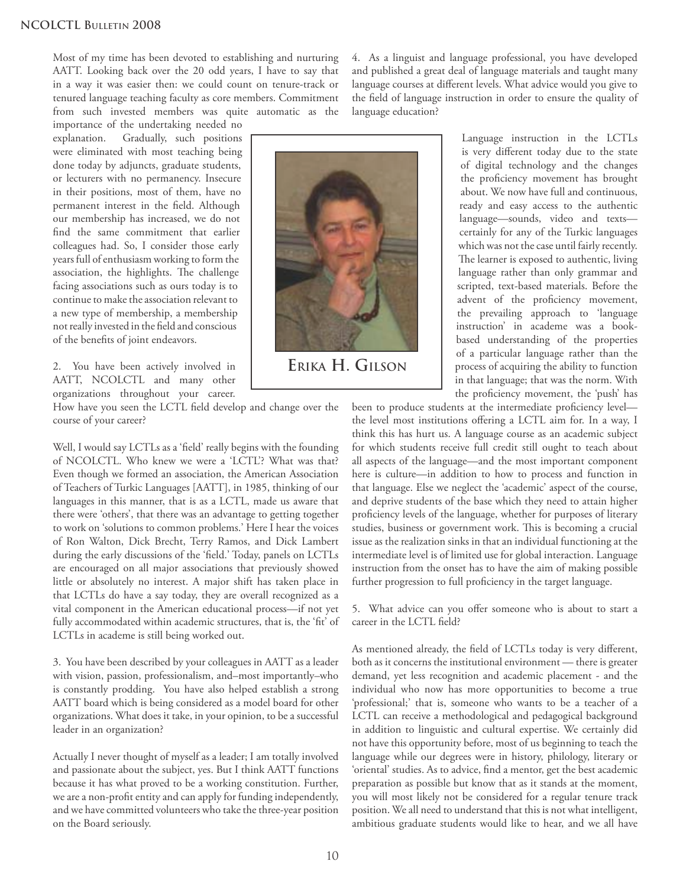Most of my time has been devoted to establishing and nurturing AATT. Looking back over the 20 odd years, I have to say that in a way it was easier then: we could count on tenure-track or tenured language teaching faculty as core members. Commitment from such invested members was quite automatic as the

importance of the undertaking needed no explanation. Gradually, such positions were eliminated with most teaching being done today by adjuncts, graduate students, or lecturers with no permanency. Insecure in their positions, most of them, have no permanent interest in the field. Although our membership has increased, we do not find the same commitment that earlier colleagues had. So, I consider those early years full of enthusiasm working to form the association, the highlights. The challenge facing associations such as ours today is to continue to make the association relevant to a new type of membership, a membership not really invested in the field and conscious of the benefits of joint endeavors.

2. You have been actively involved in AATT, NCOLCTL and many other organizations throughout your career.

How have you seen the LCTL field develop and change over the course of your career?

Well, I would say LCTLs as a 'field' really begins with the founding of NCOLCTL. Who knew we were a 'LCTL'? What was that? Even though we formed an association, the American Association of Teachers of Turkic Languages [AATT], in 1985, thinking of our languages in this manner, that is as a LCTL, made us aware that there were 'others', that there was an advantage to getting together to work on 'solutions to common problems.' Here I hear the voices of Ron Walton, Dick Brecht, Terry Ramos, and Dick Lambert during the early discussions of the 'field.' Today, panels on LCTLs are encouraged on all major associations that previously showed little or absolutely no interest. A major shift has taken place in that LCTLs do have a say today, they are overall recognized as a vital component in the American educational process—if not yet fully accommodated within academic structures, that is, the 'fit' of LCTLs in academe is still being worked out.

3. You have been described by your colleagues in AATT as a leader with vision, passion, professionalism, and–most importantly–who is constantly prodding. You have also helped establish a strong AATT board which is being considered as a model board for other organizations. What does it take, in your opinion, to be a successful leader in an organization?

Actually I never thought of myself as a leader; I am totally involved and passionate about the subject, yes. But I think AATT functions because it has what proved to be a working constitution. Further, we are a non-profit entity and can apply for funding independently, and we have committed volunteers who take the three-year position on the Board seriously.

4. As a linguist and language professional, you have developed and published a great deal of language materials and taught many language courses at different levels. What advice would you give to the field of language instruction in order to ensure the quality of language education?



**ERIKA H. GILSON**

Language instruction in the LCTLs is very different today due to the state of digital technology and the changes the proficiency movement has brought about. We now have full and continuous, ready and easy access to the authentic language—sounds, video and texts certainly for any of the Turkic languages which was not the case until fairly recently. The learner is exposed to authentic, living language rather than only grammar and scripted, text-based materials. Before the advent of the proficiency movement, the prevailing approach to 'language instruction' in academe was a bookbased understanding of the properties of a particular language rather than the process of acquiring the ability to function in that language; that was the norm. With the proficiency movement, the 'push' has

been to produce students at the intermediate proficiency levelthe level most institutions offering a LCTL aim for. In a way, I think this has hurt us. A language course as an academic subject for which students receive full credit still ought to teach about all aspects of the language—and the most important component here is culture—in addition to how to process and function in that language. Else we neglect the 'academic' aspect of the course, and deprive students of the base which they need to attain higher proficiency levels of the language, whether for purposes of literary studies, business or government work. This is becoming a crucial issue as the realization sinks in that an individual functioning at the intermediate level is of limited use for global interaction. Language instruction from the onset has to have the aim of making possible further progression to full proficiency in the target language.

5. What advice can you offer someone who is about to start a career in the LCTL field?

As mentioned already, the field of LCTLs today is very different, both as it concerns the institutional environment — there is greater demand, yet less recognition and academic placement - and the individual who now has more opportunities to become a true 'professional;' that is, someone who wants to be a teacher of a LCTL can receive a methodological and pedagogical background in addition to linguistic and cultural expertise. We certainly did not have this opportunity before, most of us beginning to teach the language while our degrees were in history, philology, literary or 'oriental' studies. As to advice, find a mentor, get the best academic preparation as possible but know that as it stands at the moment, you will most likely not be considered for a regular tenure track position. We all need to understand that this is not what intelligent, ambitious graduate students would like to hear, and we all have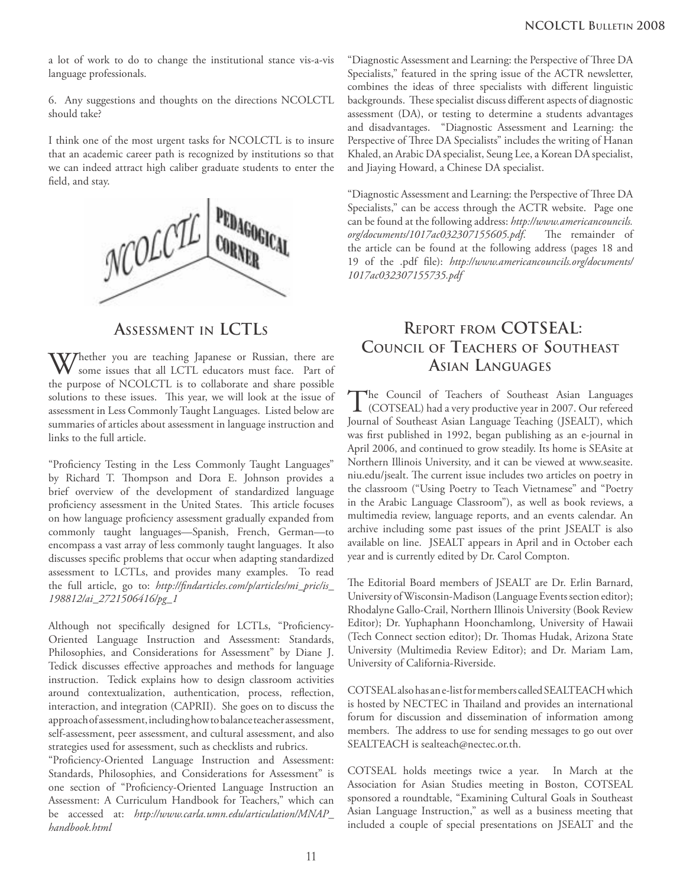a lot of work to do to change the institutional stance vis-a-vis language professionals.

6. Any suggestions and thoughts on the directions NCOLCTL should take?

I think one of the most urgent tasks for NCOLCTL is to insure that an academic career path is recognized by institutions so that we can indeed attract high caliber graduate students to enter the field, and stay.



## **ASSESSMENT IN LCTLS**

Whether you are teaching Japanese or Russian, there are some issues that all LCTL educators must face. Part of the purpose of NCOLCTL is to collaborate and share possible solutions to these issues. This year, we will look at the issue of assessment in Less Commonly Taught Languages. Listed below are summaries of articles about assessment in language instruction and links to the full article.

"Proficiency Testing in the Less Commonly Taught Languages" by Richard T. Thompson and Dora E. Johnson provides a brief overview of the development of standardized language proficiency assessment in the United States. This article focuses on how language proficiency assessment gradually expanded from commonly taught languages—Spanish, French, German—to encompass a vast array of less commonly taught languages. It also discusses specific problems that occur when adapting standardized assessment to LCTLs, and provides many examples. To read the full article, go to: http://findarticles.com/p/articles/mi\_pric/is\_ *198812/ai\_2721506416/pg\_1*

Although not specifically designed for LCTLs, "Proficiency-Oriented Language Instruction and Assessment: Standards, Philosophies, and Considerations for Assessment" by Diane J. Tedick discusses effective approaches and methods for language instruction. Tedick explains how to design classroom activities around contextualization, authentication, process, reflection, interaction, and integration (CAPRII). She goes on to discuss the approach of assessment, including how to balance teacher assessment, self-assessment, peer assessment, and cultural assessment, and also strategies used for assessment, such as checklists and rubrics.

"Proficiency-Oriented Language Instruction and Assessment: Standards, Philosophies, and Considerations for Assessment" is one section of "Proficiency-Oriented Language Instruction an Assessment: A Curriculum Handbook for Teachers," which can be accessed at: *http://www.carla.umn.edu/articulation/MNAP\_ handbook.html*

"Diagnostic Assessment and Learning: the Perspective of Th ree DA Specialists," featured in the spring issue of the ACTR newsletter, combines the ideas of three specialists with different linguistic backgrounds. These specialist discuss different aspects of diagnostic assessment (DA), or testing to determine a students advantages and disadvantages. "Diagnostic Assessment and Learning: the Perspective of Three DA Specialists" includes the writing of Hanan Khaled, an Arabic DA specialist, Seung Lee, a Korean DA specialist, and Jiaying Howard, a Chinese DA specialist.

"Diagnostic Assessment and Learning: the Perspective of Three DA Specialists," can be access through the ACTR website. Page one can be found at the following address: *http://www.americancouncils. org/documents/1017ac032307155605.pdf*. The remainder of the article can be found at the following address (pages 18 and 19 of the .pdf file): http://www.americancouncils.org/documents/ *1017ac032307155735.pdf*

## **REPORT FROM COTSEAL: COUNCIL OF TEACHERS OF SOUTHEAST ASIAN LANGUAGES**

The Council of Teachers of Southeast Asian Languages (COTSEAL) had a very productive year in 2007. Our refereed Journal of Southeast Asian Language Teaching (JSEALT), which was first published in 1992, began publishing as an e-journal in April 2006, and continued to grow steadily. Its home is SEAsite at Northern Illinois University, and it can be viewed at www.seasite. niu.edu/jsealt. The current issue includes two articles on poetry in the classroom ("Using Poetry to Teach Vietnamese" and "Poetry in the Arabic Language Classroom"), as well as book reviews, a multimedia review, language reports, and an events calendar. An archive including some past issues of the print JSEALT is also available on line. JSEALT appears in April and in October each year and is currently edited by Dr. Carol Compton.

The Editorial Board members of JSEALT are Dr. Erlin Barnard, University of Wisconsin-Madison (Language Events section editor); Rhodalyne Gallo-Crail, Northern Illinois University (Book Review Editor); Dr. Yuphaphann Hoonchamlong, University of Hawaii (Tech Connect section editor); Dr. Thomas Hudak, Arizona State University (Multimedia Review Editor); and Dr. Mariam Lam, University of California-Riverside.

COTSEAL also has an e-list for members called SEALTEACH which is hosted by NECTEC in Thailand and provides an international forum for discussion and dissemination of information among members. The address to use for sending messages to go out over SEALTEACH is sealteach@nectec.or.th.

COTSEAL holds meetings twice a year. In March at the Association for Asian Studies meeting in Boston, COTSEAL sponsored a roundtable, "Examining Cultural Goals in Southeast Asian Language Instruction," as well as a business meeting that included a couple of special presentations on JSEALT and the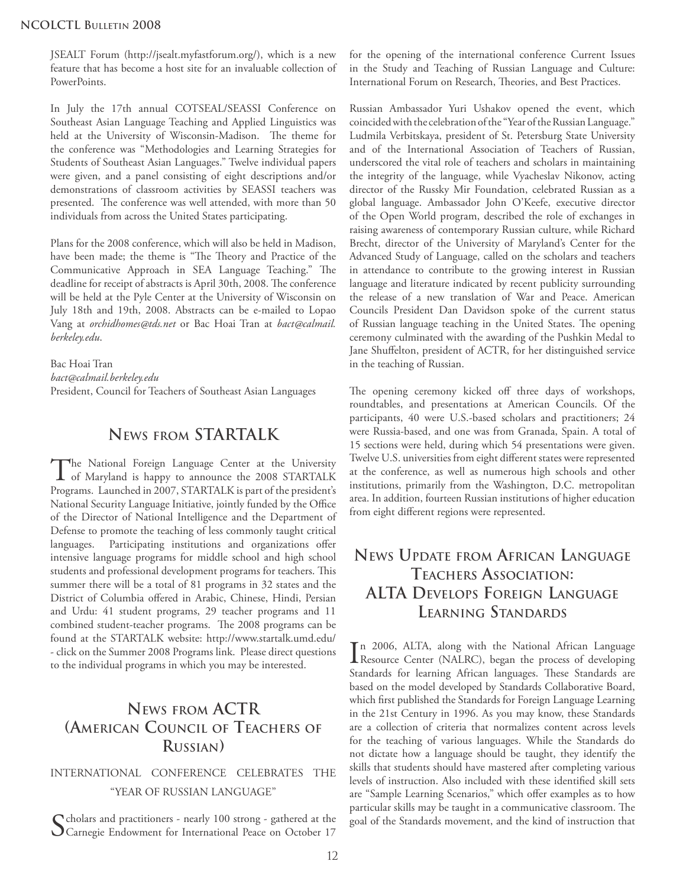JSEALT Forum (http://jsealt.myfastforum.org/), which is a new feature that has become a host site for an invaluable collection of PowerPoints.

In July the 17th annual COTSEAL/SEASSI Conference on Southeast Asian Language Teaching and Applied Linguistics was held at the University of Wisconsin-Madison. The theme for the conference was "Methodologies and Learning Strategies for Students of Southeast Asian Languages." Twelve individual papers were given, and a panel consisting of eight descriptions and/or demonstrations of classroom activities by SEASSI teachers was presented. The conference was well attended, with more than 50 individuals from across the United States participating.

Plans for the 2008 conference, which will also be held in Madison, have been made; the theme is "The Theory and Practice of the Communicative Approach in SEA Language Teaching." The deadline for receipt of abstracts is April 30th, 2008. The conference will be held at the Pyle Center at the University of Wisconsin on July 18th and 19th, 2008. Abstracts can be e-mailed to Lopao Vang at *orchidhomes@tds.net* or Bac Hoai Tran at *bact@calmail. berkeley.edu*.

Bac Hoai Tran *bact@calmail.berkeley.edu* President, Council for Teachers of Southeast Asian Languages

## **NEWS FROM STARTALK**

The National Foreign Language Center at the University<br>of Maryland is happy to announce the 2008 STARTALK Programs. Launched in 2007, STARTALK is part of the president's National Security Language Initiative, jointly funded by the Office of the Director of National Intelligence and the Department of Defense to promote the teaching of less commonly taught critical languages. Participating institutions and organizations offer intensive language programs for middle school and high school students and professional development programs for teachers. This summer there will be a total of 81 programs in 32 states and the District of Columbia offered in Arabic, Chinese, Hindi, Persian and Urdu: 41 student programs, 29 teacher programs and 11 combined student-teacher programs. The 2008 programs can be found at the STARTALK website: http://www.startalk.umd.edu/ - click on the Summer 2008 Programs link. Please direct questions to the individual programs in which you may be interested.

## **NEWS FROM ACTR (AMERICAN COUNCIL OF TEACHERS OF RUSSIAN)**

### INTERNATIONAL CONFERENCE CELEBRATES THE "YEAR OF RUSSIAN LANGUAGE"

Scholars and practitioners - nearly 100 strong - gathered at the Carnegie Endowment for International Peace on October 17

for the opening of the international conference Current Issues in the Study and Teaching of Russian Language and Culture: International Forum on Research, Theories, and Best Practices.

Russian Ambassador Yuri Ushakov opened the event, which coincided with the celebration of the "Year of the Russian Language." Ludmila Verbitskaya, president of St. Petersburg State University and of the International Association of Teachers of Russian, underscored the vital role of teachers and scholars in maintaining the integrity of the language, while Vyacheslav Nikonov, acting director of the Russky Mir Foundation, celebrated Russian as a global language. Ambassador John O'Keefe, executive director of the Open World program, described the role of exchanges in raising awareness of contemporary Russian culture, while Richard Brecht, director of the University of Maryland's Center for the Advanced Study of Language, called on the scholars and teachers in attendance to contribute to the growing interest in Russian language and literature indicated by recent publicity surrounding the release of a new translation of War and Peace. American Councils President Dan Davidson spoke of the current status of Russian language teaching in the United States. The opening ceremony culminated with the awarding of the Pushkin Medal to Jane Shuffelton, president of ACTR, for her distinguished service in the teaching of Russian.

The opening ceremony kicked off three days of workshops, roundtables, and presentations at American Councils. Of the participants, 40 were U.S.-based scholars and practitioners; 24 were Russia-based, and one was from Granada, Spain. A total of 15 sections were held, during which 54 presentations were given. Twelve U.S. universities from eight different states were represented at the conference, as well as numerous high schools and other institutions, primarily from the Washington, D.C. metropolitan area. In addition, fourteen Russian institutions of higher education from eight different regions were represented.

## **NEWS UPDATE FROM AFRICAN LANGUAGE TEACHERS ASSOCIATION: ALTA DEVELOPS FOREIGN LANGUAGE LEARNING STANDARDS**

In 2006, ALTA, along with the National African Language<br>Resource Center (NALRC), began the process of developing Resource Center (NALRC), began the process of developing Standards for learning African languages. These Standards are based on the model developed by Standards Collaborative Board, which first published the Standards for Foreign Language Learning in the 21st Century in 1996. As you may know, these Standards are a collection of criteria that normalizes content across levels for the teaching of various languages. While the Standards do not dictate how a language should be taught, they identify the skills that students should have mastered after completing various levels of instruction. Also included with these identified skill sets are "Sample Learning Scenarios," which offer examples as to how particular skills may be taught in a communicative classroom. The goal of the Standards movement, and the kind of instruction that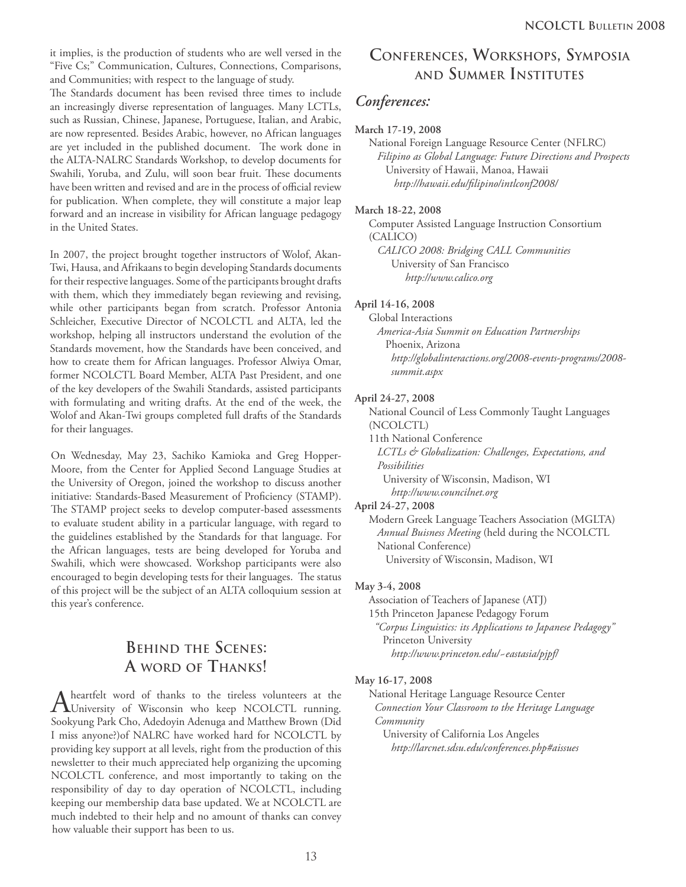it implies, is the production of students who are well versed in the "Five Cs;" Communication, Cultures, Connections, Comparisons, and Communities; with respect to the language of study.

The Standards document has been revised three times to include an increasingly diverse representation of languages. Many LCTLs, such as Russian, Chinese, Japanese, Portuguese, Italian, and Arabic, are now represented. Besides Arabic, however, no African languages are yet included in the published document. The work done in the ALTA-NALRC Standards Workshop, to develop documents for Swahili, Yoruba, and Zulu, will soon bear fruit. These documents have been written and revised and are in the process of official review for publication. When complete, they will constitute a major leap forward and an increase in visibility for African language pedagogy in the United States.

In 2007, the project brought together instructors of Wolof, Akan-Twi, Hausa, and Afrikaans to begin developing Standards documents for their respective languages. Some of the participants brought drafts with them, which they immediately began reviewing and revising, while other participants began from scratch. Professor Antonia Schleicher, Executive Director of NCOLCTL and ALTA, led the workshop, helping all instructors understand the evolution of the Standards movement, how the Standards have been conceived, and how to create them for African languages. Professor Alwiya Omar, former NCOLCTL Board Member, ALTA Past President, and one of the key developers of the Swahili Standards, assisted participants with formulating and writing drafts. At the end of the week, the Wolof and Akan-Twi groups completed full drafts of the Standards for their languages.

On Wednesday, May 23, Sachiko Kamioka and Greg Hopper-Moore, from the Center for Applied Second Language Studies at the University of Oregon, joined the workshop to discuss another initiative: Standards-Based Measurement of Proficiency (STAMP). The STAMP project seeks to develop computer-based assessments to evaluate student ability in a particular language, with regard to the guidelines established by the Standards for that language. For the African languages, tests are being developed for Yoruba and Swahili, which were showcased. Workshop participants were also encouraged to begin developing tests for their languages. The status of this project will be the subject of an ALTA colloquium session at this year's conference.

## **BEHIND THE SCENES: A WORD OF THANKS!**

A heartfelt word of thanks to the tireless volunteers at the University of Wisconsin who keep NCOLCTL running. Sookyung Park Cho, Adedoyin Adenuga and Matthew Brown (Did I miss anyone?)of NALRC have worked hard for NCOLCTL by providing key support at all levels, right from the production of this newsletter to their much appreciated help organizing the upcoming NCOLCTL conference, and most importantly to taking on the responsibility of day to day operation of NCOLCTL, including keeping our membership data base updated. We at NCOLCTL are much indebted to their help and no amount of thanks can convey how valuable their support has been to us.

## **CONFERENCES, WORKSHOPS, SYMPOSIA AND SUMMER INSTITUTES**

## *Conferences:*

#### **March 17-19, 2008**

 National Foreign Language Resource Center (NFLRC) *Filipino as Global Language: Future Directions and Prospects* University of Hawaii, Manoa, Hawaii *http://hawaii.edu/fi lipino/intlconf2008/*

#### **March 18-22, 2008**

 Computer Assisted Language Instruction Consortium (CALICO) *CALICO 2008: Bridging CALL Communities* University of San Francisco *http://www.calico.org*

#### **April 14-16, 2008**

 Global Interactions *America-Asia Summit on Education Partnerships* Phoenix, Arizona *http://globalinteractions.org/2008-events-programs/2008 summit.aspx*

#### **April 24-27, 2008**

 National Council of Less Commonly Taught Languages (NCOLCTL)

11th National Conference

 *LCTLs & Globalization: Challenges, Expectations, and Possibilities*

 University of Wisconsin, Madison, WI *http://www.councilnet.org*

#### **April 24-27, 2008**

 Modern Greek Language Teachers Association (MGLTA) *Annual Buisness Meeting* (held during the NCOLCTL National Conference) University of Wisconsin, Madison, WI

#### **May 3-4, 2008**

Association of Teachers of Japanese (ATJ)

15th Princeton Japanese Pedagogy Forum

 *"Corpus Linguistics: its Applications to Japanese Pedagogy"* Princeton University *http://www.princeton.edu/~eastasia/pjpf/*

#### **May 16-17, 2008**

 National Heritage Language Resource Center *Connection Your Classroom to the Heritage Language Community*

 University of California Los Angeles *http://larcnet.sdsu.edu/conferences.php#aissues*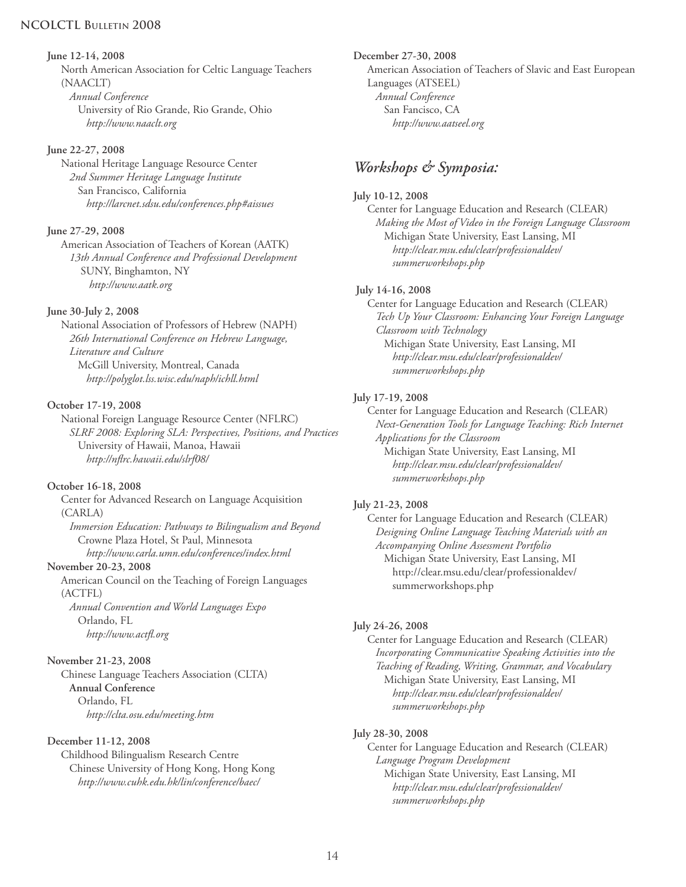#### **NCOLCTL BULLETIN 2008**

#### **June 12-14, 2008**

 North American Association for Celtic Language Teachers (NAACLT) *Annual Conference*

 University of Rio Grande, Rio Grande, Ohio *http://www.naaclt.org*

#### **June 22-27, 2008**

 National Heritage Language Resource Center *2nd Summer Heritage Language Institute* San Francisco, California *http://larcnet.sdsu.edu/conferences.php#aissues*

#### **June 27-29, 2008**

 American Association of Teachers of Korean (AATK) *13th Annual Conference and Professional Development* SUNY, Binghamton, NY *http://www.aatk.org*

#### **June 30-July 2, 2008**

 National Association of Professors of Hebrew (NAPH) *26th International Conference on Hebrew Language, Literature and Culture*  McGill University, Montreal, Canada *http://polyglot.lss.wisc.edu/naph/ichll.html*

#### **October 17-19, 2008**

 National Foreign Language Resource Center (NFLRC) *SLRF 2008: Exploring SLA: Perspectives, Positions, and Practices* University of Hawaii, Manoa, Hawaii *http://nfl rc.hawaii.edu/slrf08/*

#### **October 16-18, 2008**

 Center for Advanced Research on Language Acquisition (CARLA) *Immersion Education: Pathways to Bilingualism and Beyond* Crowne Plaza Hotel, St Paul, Minnesota *http://www.carla.umn.edu/conferences/index.html*

**November 20-23, 2008**

 American Council on the Teaching of Foreign Languages (ACTFL)

 *Annual Convention and World Languages Expo* Orlando, FL *http://www.actfl .org*

#### **November 21-23, 2008**

 Chinese Language Teachers Association (CLTA) **Annual Conference** Orlando, FL *http://clta.osu.edu/meeting.htm*

#### **December 11-12, 2008**

 Childhood Bilingualism Research Centre Chinese University of Hong Kong, Hong Kong *http://www.cuhk.edu.hk/lin/conference/baec/*

**December 27-30, 2008** American Association of Teachers of Slavic and East European Languages (ATSEEL) *Annual Conference* San Fancisco, CA *http://www.aatseel.org*

## *Workshops & Symposia:*

#### **July 10-12, 2008**

 Center for Language Education and Research (CLEAR) *Making the Most of Video in the Foreign Language Classroom* Michigan State University, East Lansing, MI *http://clear.msu.edu/clear/professionaldev/ summerworkshops.php*

#### **July 14-16, 2008**

 Center for Language Education and Research (CLEAR) *Tech Up Your Classroom: Enhancing Your Foreign Language Classroom with Technology* Michigan State University, East Lansing, MI *http://clear.msu.edu/clear/professionaldev/ summerworkshops.php*

#### **July 17-19, 2008**

 Center for Language Education and Research (CLEAR) *Next-Generation Tools for Language Teaching: Rich Internet Applications for the Classroom*

 Michigan State University, East Lansing, MI *http://clear.msu.edu/clear/professionaldev/ summerworkshops.php*

#### **July 21-23, 2008**

 Center for Language Education and Research (CLEAR) *Designing Online Language Teaching Materials with an Accompanying Online Assessment Portfolio* Michigan State University, East Lansing, MI http://clear.msu.edu/clear/professionaldev/ summerworkshops.php

#### **July 24-26, 2008**

 Center for Language Education and Research (CLEAR) *Incorporating Communicative Speaking Activities into the Teaching of Reading, Writing, Grammar, and Vocabulary* Michigan State University, East Lansing, MI *http://clear.msu.edu/clear/professionaldev/ summerworkshops.php*

#### **July 28-30, 2008**

 Center for Language Education and Research (CLEAR) *Language Program Development* Michigan State University, East Lansing, MI *http://clear.msu.edu/clear/professionaldev/ summerworkshops.php*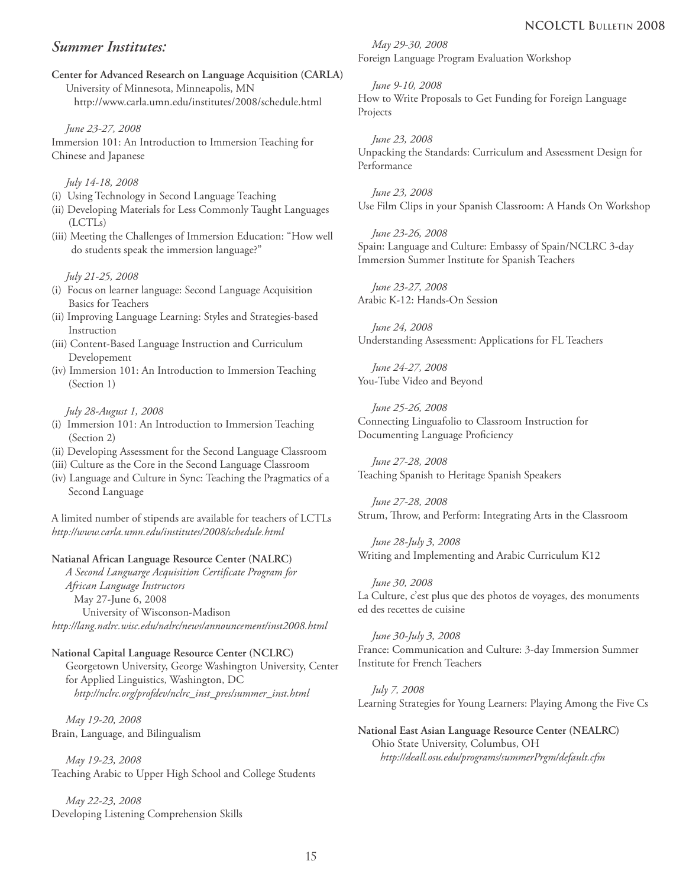### *Summer Institutes:*

**Center for Advanced Research on Language Acquisition (CARLA)** University of Minnesota, Minneapolis, MN http://www.carla.umn.edu/institutes/2008/schedule.html

 *June 23-27, 2008* Immersion 101: An Introduction to Immersion Teaching for Chinese and Japanese

#### *July 14-18, 2008*

- (i) Using Technology in Second Language Teaching
- (ii) Developing Materials for Less Commonly Taught Languages (LCTLs)
- (iii) Meeting the Challenges of Immersion Education: "How well do students speak the immersion language?"

#### *July 21-25, 2008*

- (i) Focus on learner language: Second Language Acquisition Basics for Teachers
- (ii) Improving Language Learning: Styles and Strategies-based Instruction
- (iii) Content-Based Language Instruction and Curriculum Developement
- (iv) Immersion 101: An Introduction to Immersion Teaching (Section 1)

#### *July 28-August 1, 2008*

- (i) Immersion 101: An Introduction to Immersion Teaching (Section 2)
- (ii) Developing Assessment for the Second Language Classroom
- (iii) Culture as the Core in the Second Language Classroom
- (iv) Language and Culture in Sync: Teaching the Pragmatics of a Second Language

A limited number of stipends are available for teachers of LCTLs *http://www.carla.umn.edu/institutes/2008/schedule.html* 

#### **Natianal African Language Resource Center (NALRC)**

 *A Second Languarge Acquisition Certifi cate Program for African Language Instructors* May 27-June 6, 2008 University of Wisconson-Madison *http://lang.nalrc.wisc.edu/nalrc/news/announcement/inst2008.html*

#### **National Capital Language Resource Center (NCLRC)**

 Georgetown University, George Washington University, Center for Applied Linguistics, Washington, DC *http://nclrc.org/profdev/nclrc\_inst\_pres/summer\_inst.html*

 *May 19-20, 2008* Brain, Language, and Bilingualism

 *May 19-23, 2008* Teaching Arabic to Upper High School and College Students

 *May 22-23, 2008* Developing Listening Comprehension Skills

 *May 29-30, 2008* Foreign Language Program Evaluation Workshop

 *June 9-10, 2008* How to Write Proposals to Get Funding for Foreign Language Projects

 *June 23, 2008* Unpacking the Standards: Curriculum and Assessment Design for Performance

 *June 23, 2008* Use Film Clips in your Spanish Classroom: A Hands On Workshop

 *June 23-26, 2008* Spain: Language and Culture: Embassy of Spain/NCLRC 3-day Immersion Summer Institute for Spanish Teachers

 *June 23-27, 2008* Arabic K-12: Hands-On Session

 *June 24, 2008* Understanding Assessment: Applications for FL Teachers

 *June 24-27, 2008* You-Tube Video and Beyond

 *June 25-26, 2008* Connecting Linguafolio to Classroom Instruction for Documenting Language Proficiency

 *June 27-28, 2008* Teaching Spanish to Heritage Spanish Speakers

 *June 27-28, 2008* Strum, Throw, and Perform: Integrating Arts in the Classroom

 *June 28-July 3, 2008* Writing and Implementing and Arabic Curriculum K12

 *June 30, 2008* La Culture, c'est plus que des photos de voyages, des monuments ed des recettes de cuisine

 *June 30-July 3, 2008* France: Communication and Culture: 3-day Immersion Summer Institute for French Teachers

 *July 7, 2008* Learning Strategies for Young Learners: Playing Among the Five Cs

#### **National East Asian Language Resource Center (NEALRC)** Ohio State University, Columbus, OH *http://deall.osu.edu/programs/summerPrgm/default.cfm*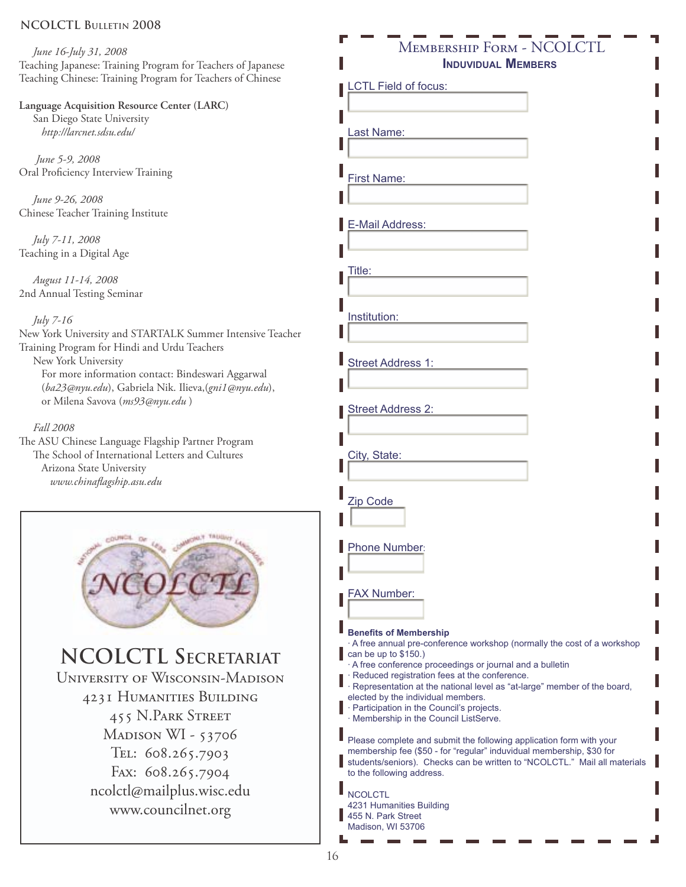#### **NCOLCTL BULLETIN 2008**

 *June 16-July 31, 2008* Teaching Japanese: Training Program for Teachers of Japanese Teaching Chinese: Training Program for Teachers of Chinese

#### **Language Acquisition Resource Center (LARC)**

 San Diego State University *http://larcnet.sdsu.edu/*

 *June 5-9, 2008* Oral Proficiency Interview Training

 *June 9-26, 2008* Chinese Teacher Training Institute

 *July 7-11, 2008* Teaching in a Digital Age

 *August 11-14, 2008* 2nd Annual Testing Seminar

#### *July 7-16*

New York University and STARTALK Summer Intensive Teacher Training Program for Hindi and Urdu Teachers New York University For more information contact: Bindeswari Aggarwal (*ba23@nyu.edu*), Gabriela Nik. Ilieva,(*gni1@nyu.edu*), or Milena Savova (*ms93@nyu.edu* )

#### *Fall 2008*

The ASU Chinese Language Flagship Partner Program The School of International Letters and Cultures Arizona State University *www.chinafl agship.asu.edu*



## **NCOLCTL SECRETARIAT**

**UNIVERSITY OF WISCONSIN-MADISON** 4231 HUMANITIES BUILDING **455 N.PARK STREET** MADISON WI - 53706 TEL: 608.265.7903 Fax: 608.265.7904 ncolctl@mailplus.wisc.edu www.councilnet.org

## Membership Form - NCOLCTL **INDUVIDUAL MEMBERS**

LCTL Field of focus: Last Name: First Name: E-Mail Address: Title: Institution: Street Address 1: Street Address 2: City, State: Zip Code Phone Number: FAX Number: **Benefits of Membership** A free annual pre-conference workshop (normally the cost of a workshop can be up to \$150.) A free conference proceedings or journal and a bulletin Reduced registration fees at the conference. Representation at the national level as "at-large" member of the board, elected by the individual members. · Participation in the Council's projects. Membership in the Council ListServe. Please complete and submit the following application form with your membership fee (\$50 - for "regular" induvidual membership, \$30 for students/seniors). Checks can be written to "NCOLCTL." Mail all materials to the following address. **NCOLCTL** 4231 Humanities Building 455 N. Park Street Madison, WI 53706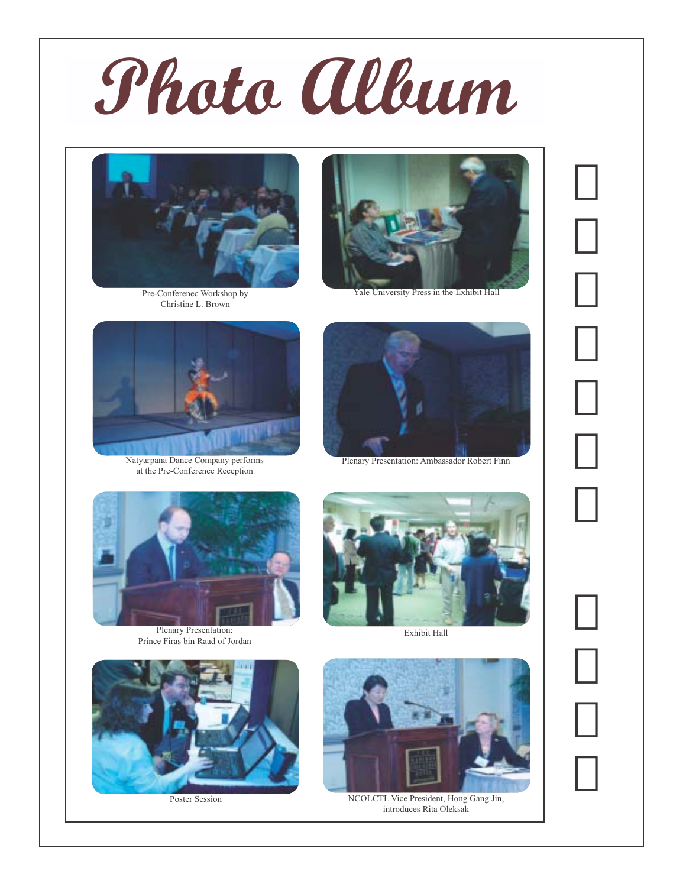



Pre-Conferenec Workshop by Christine L. Brown



Natyarpana Dance Company performs at the Pre-Conference Reception



Yale University Press in the Exhibit Hall



Plenary Presentation: Ambassador Robert Finn



Plenary Presentation: Prince Firas bin Raad of Jordan



Exhibit Hall



Poster Session



NCOLCTL Vice President, Hong Gang Jin, introduces Rita Oleksak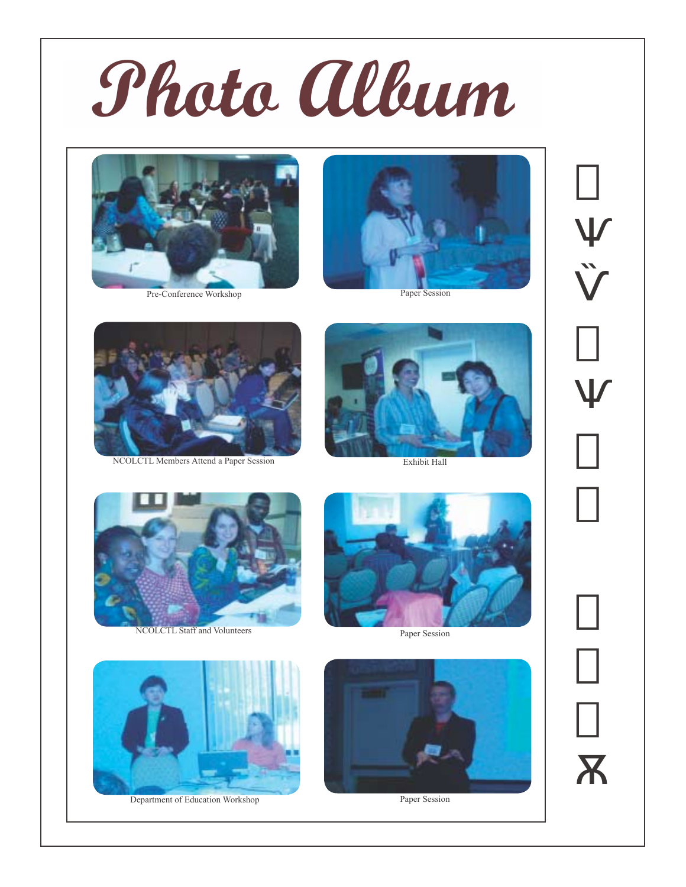



Pre-Conference Workshop



Paper Session



NCOLCTL Members Attend a Paper Session



Exhibit Hall



NCOLCTL Staff and Volunteers



Paper Session



Department of Education Workshop



Paper Session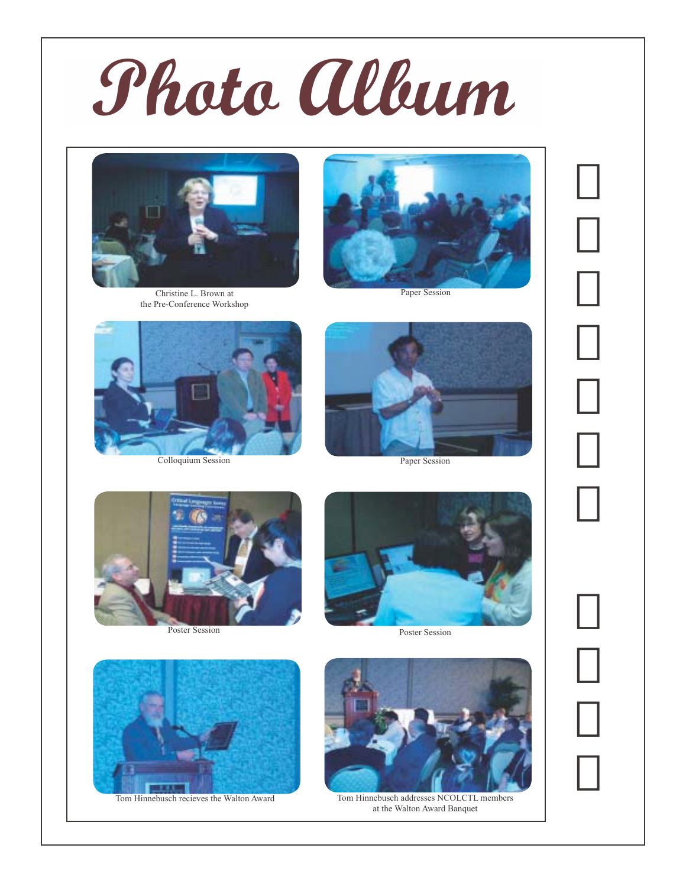



Christine L. Brown at the Pre-Conference Workshop



Paper Session



Colloquium Session



Paper Session





Poster Session



Tom Hinnebusch recieves the Walton Award



Tom Hinnebusch addresses NCOLCTL members at the Walton Award Banquet